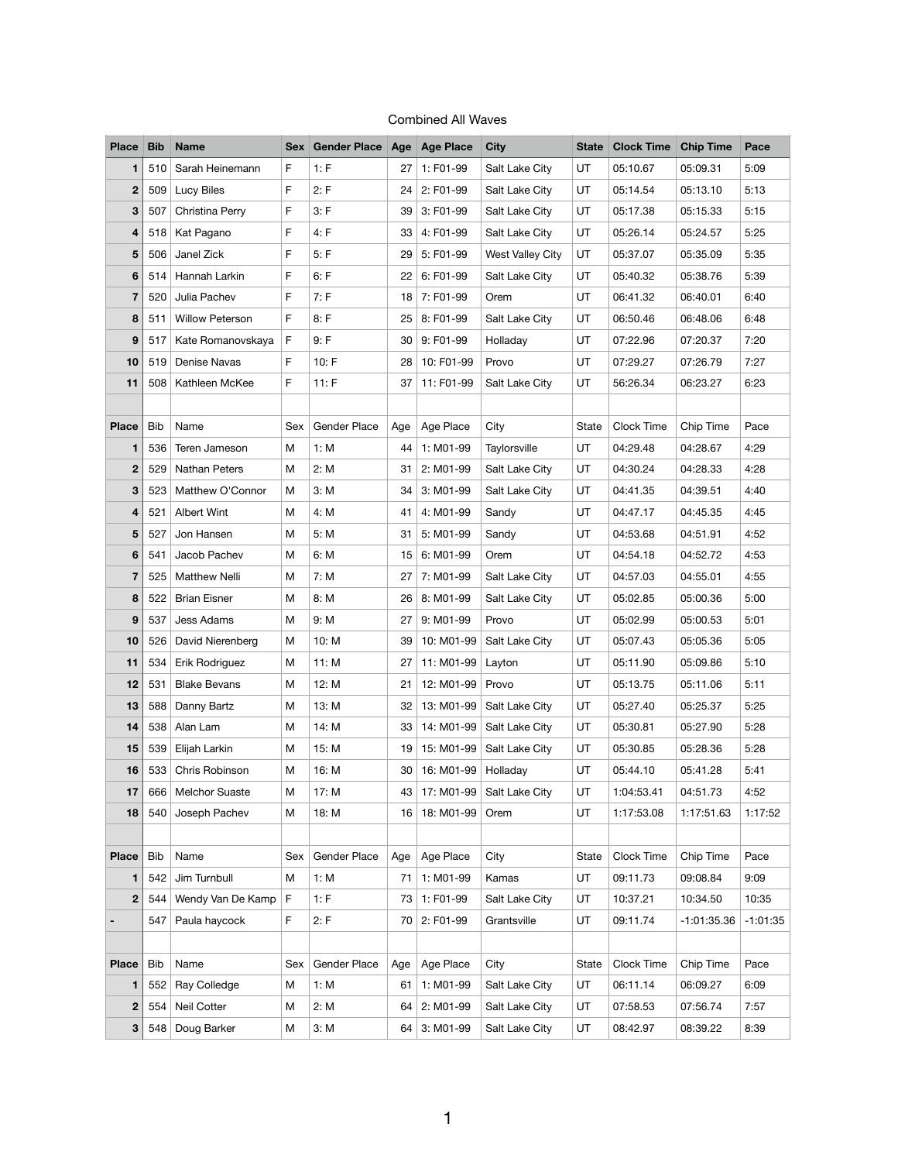| <b>Place</b>   | <b>Bib</b> | <b>Name</b>            |     | Sex Gender Place Age Age Place |     |              | <b>City</b>      |       | <b>State Clock Time</b> | <b>Chip Time</b> | Pace       |
|----------------|------------|------------------------|-----|--------------------------------|-----|--------------|------------------|-------|-------------------------|------------------|------------|
| 1              | 510        | Sarah Heinemann        | F.  | 1: F                           | 27  | 1: F01-99    | Salt Lake City   | UT    | 05:10.67                | 05:09.31         | 5:09       |
| $\mathbf 2$    | 509        | <b>Lucy Biles</b>      | F.  | 2: F                           | 24  | 2: F01-99    | Salt Lake City   | UT    | 05:14.54                | 05:13.10         | 5:13       |
| 3              | 507        | Christina Perry        | F   | 3: F                           | 39  | 3: F01-99    | Salt Lake City   | UT    | 05:17.38                | 05:15.33         | 5:15       |
| 4              | 518        | Kat Pagano             | F   | 4: F                           | 33  | 4: F01-99    | Salt Lake City   | UT    | 05:26.14                | 05:24.57         | 5:25       |
| 5              | 506        | Janel Zick             | F.  | 5: F                           | 29  | 5: F01-99    | West Valley City | UT    | 05:37.07                | 05:35.09         | 5:35       |
| $6\phantom{1}$ | 514        | Hannah Larkin          | F.  | 6: F                           | 22  | 6: F01-99    | Salt Lake City   | UT    | 05:40.32                | 05:38.76         | 5:39       |
| $\overline{7}$ | 520        | Julia Pachev           | F   | 7: F                           | 18  | 7: F01-99    | Orem             | UT    | 06:41.32                | 06:40.01         | 6:40       |
| 8              | 511        | <b>Willow Peterson</b> | F.  | 8: F                           | 25  | 8: F01-99    | Salt Lake City   | UT    | 06:50.46                | 06:48.06         | 6:48       |
| 9              | 517        | Kate Romanovskaya      | F   | 9: F                           | 30  | 9: F01-99    | Holladay         | UT    | 07:22.96                | 07:20.37         | 7:20       |
| 10             | 519        | Denise Navas           | F.  | 10: F                          | 28  | 10: F01-99   | Provo            | UT    | 07:29.27                | 07:26.79         | 7:27       |
| 11             | 508        | Kathleen McKee         | F.  | 11: F                          | 37  | 11: F01-99   | Salt Lake City   | UT    | 56:26.34                | 06:23.27         | 6:23       |
|                |            |                        |     |                                |     |              |                  |       |                         |                  |            |
| <b>Place</b>   | <b>Bib</b> | Name                   | Sex | <b>Gender Place</b>            | Age | Age Place    | City             | State | Clock Time              | Chip Time        | Pace       |
| $\mathbf{1}$   | 536        | Teren Jameson          | M   | 1: M                           | 44  | 1: M01-99    | Taylorsville     | UT    | 04:29.48                | 04:28.67         | 4:29       |
| $\mathbf 2$    | 529        | Nathan Peters          | M   | 2: M                           | 31  | 2: M01-99    | Salt Lake City   | UT    | 04:30.24                | 04:28.33         | 4:28       |
| 3              | 523        | Matthew O'Connor       | M   | 3: M                           | 34  | 3: M01-99    | Salt Lake City   | UT    | 04:41.35                | 04:39.51         | 4:40       |
| 4              | 521        | <b>Albert Wint</b>     | M   | 4: M                           | 41  | 4: M01-99    | Sandy            | UT    | 04:47.17                | 04:45.35         | 4:45       |
| 5              | 527        | Jon Hansen             | М   | 5: M                           | 31  | 5: M01-99    | Sandy            | UT    | 04:53.68                | 04:51.91         | 4:52       |
| $6\phantom{1}$ | 541        | Jacob Pachev           | M   | 6: M                           | 15  | 6: M01-99    | Orem             | UT    | 04:54.18                | 04:52.72         | 4:53       |
| $\overline{7}$ | 525        | <b>Matthew Nelli</b>   | M   | 7: M                           | 27  | 7: M01-99    | Salt Lake City   | UT    | 04:57.03                | 04:55.01         | 4:55       |
| 8              | 522        | <b>Brian Eisner</b>    | M   | 8: M                           | 26  | 8: M01-99    | Salt Lake City   | UT    | 05:02.85                | 05:00.36         | 5:00       |
| 9              | 537        | Jess Adams             | M   | 9: M                           | 27  | 9: M01-99    | Provo            | UT    | 05:02.99                | 05:00.53         | 5:01       |
| 10             | 526        | David Nierenberg       | M   | 10: M                          | 39  | 10: M01-99   | Salt Lake City   | UT    | 05:07.43                | 05:05.36         | 5:05       |
| 11             | 534        | Erik Rodriguez         | M   | 11: M                          | 27  | 11: M01-99   | Layton           | UT    | 05:11.90                | 05:09.86         | 5:10       |
| 12             | 531        | <b>Blake Bevans</b>    | M   | 12: M                          | 21  | 12: M01-99   | Provo            | UT    | 05:13.75                | 05:11.06         | 5:11       |
| 13             | 588        | Danny Bartz            | M   | 13: M                          | 32  | 13: M01-99   | Salt Lake City   | UT    | 05:27.40                | 05:25.37         | 5:25       |
| 14             | 538        | Alan Lam               | M   | 14: M                          | 33  | 14: M01-99   | Salt Lake City   | UT    | 05:30.81                | 05:27.90         | 5:28       |
| 15             | 539        | Elijah Larkin          | M   | 15: M                          | 19  | 15: M01-99   | Salt Lake City   | UT    | 05:30.85                | 05:28.36         | 5:28       |
| 16             | 533        | Chris Robinson         | M   | 16: M                          | 30  | 16: M01-99   | Holladay         | UT    | 05:44.10                | 05:41.28         | 5:41       |
| 17             | 666        | <b>Melchor Suaste</b>  | M   | 17: M                          | 43  | 17: M01-99   | Salt Lake City   | UT    | 1:04:53.41              | 04:51.73         | 4:52       |
| 18             | 540        | Joseph Pachev          | M   | 18: M                          | 16  | 18: M01-99   | Orem             | UT    | 1:17:53.08              | 1:17:51.63       | 1:17:52    |
|                |            |                        |     |                                |     |              |                  |       |                         |                  |            |
| <b>Place</b>   | <b>Bib</b> | Name                   | Sex | Gender Place                   | Age | Age Place    | City             | State | Clock Time              | Chip Time        | Pace       |
| $\mathbf{1}$   | 542        | Jim Turnbull           | M   | 1: M                           | 71  | 1: M01-99    | Kamas            | UT    | 09:11.73                | 09:08.84         | 9:09       |
| $\mathbf 2$    | 544        | Wendy Van De Kamp      | F   | 1: F                           | 73  | 1: F01-99    | Salt Lake City   | UT    | 10:37.21                | 10:34.50         | 10:35      |
| $\blacksquare$ | 547        | Paula haycock          | F   | 2: F                           | 70  | 2: F01-99    | Grantsville      | UT    | 09:11.74                | $-1:01:35.36$    | $-1:01:35$ |
|                |            |                        |     |                                |     |              |                  |       |                         |                  |            |
| <b>Place</b>   | <b>Bib</b> | Name                   | Sex | Gender Place                   | Age | Age Place    | City             | State | Clock Time              | Chip Time        | Pace       |
| 1              | 552        | Ray Colledge           | M   | 1: M                           | 61  | 1: M01-99    | Salt Lake City   | UT    | 06:11.14                | 06:09.27         | 6:09       |
| $\mathbf 2$    | 554        | Neil Cotter            | M   | 2: M                           | 64  | 2: M01-99    | Salt Lake City   | UT    | 07:58.53                | 07:56.74         | 7:57       |
| $3\phantom{a}$ | 548        | Doug Barker            | M   | 3: M                           |     | 64 3: M01-99 | Salt Lake City   | UT    | 08:42.97                | 08:39.22         | 8:39       |

## Combined All Waves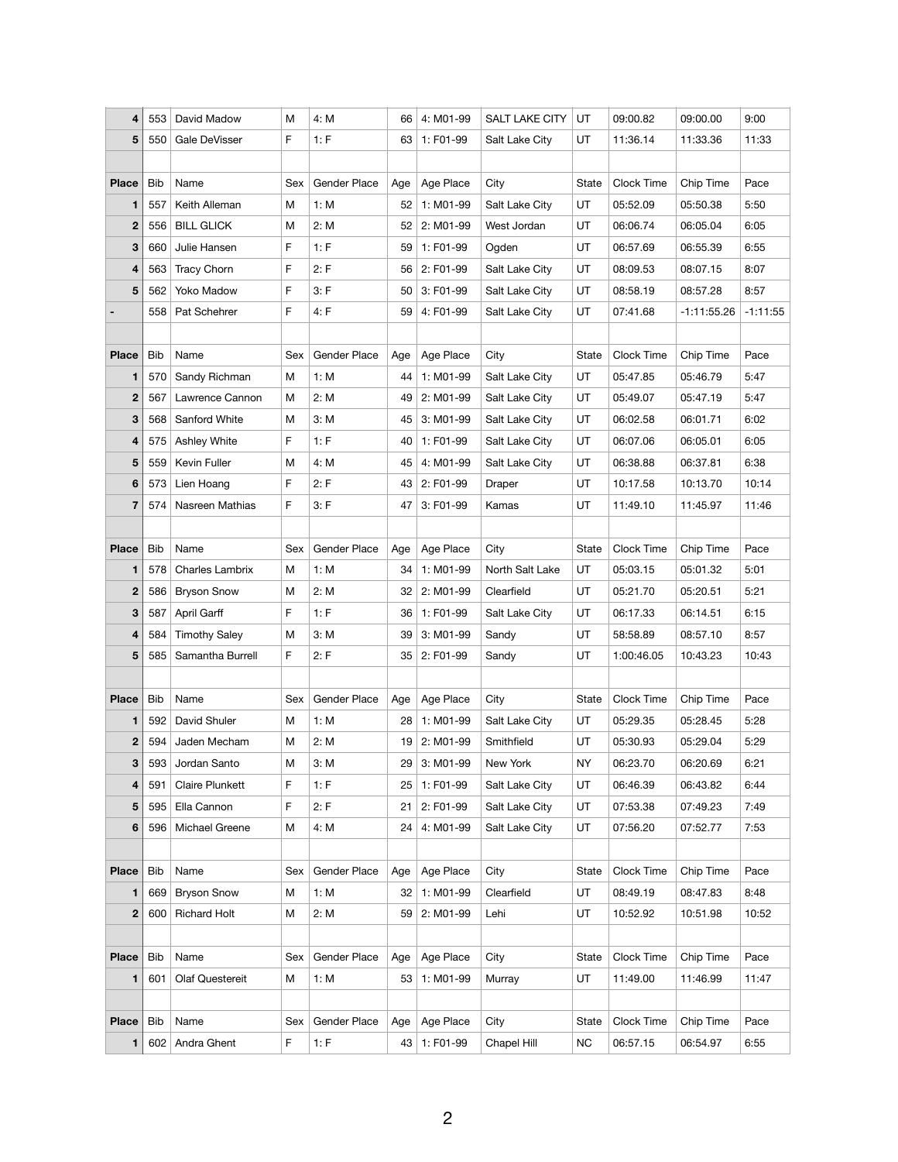| 4                       | 553        | David Madow            | M   | 4: M                | 66  | 4: M01-99 | <b>SALT LAKE CITY</b> | UT        | 09:00.82   | 09:00.00      | 9:00       |
|-------------------------|------------|------------------------|-----|---------------------|-----|-----------|-----------------------|-----------|------------|---------------|------------|
| 5                       | 550        | Gale DeVisser          | F   | 1: F                | 63  | 1: F01-99 | Salt Lake City        | UT        | 11:36.14   | 11:33.36      | 11:33      |
|                         |            |                        |     |                     |     |           |                       |           |            |               |            |
| <b>Place</b>            | <b>Bib</b> | Name                   | Sex | <b>Gender Place</b> | Age | Age Place | City                  | State     | Clock Time | Chip Time     | Pace       |
| 1                       | 557        | Keith Alleman          | M   | 1: M                | 52  | 1: M01-99 | Salt Lake City        | UT        | 05:52.09   | 05:50.38      | 5:50       |
| $\mathbf{2}$            | 556        | <b>BILL GLICK</b>      | M   | 2: M                | 52  | 2: M01-99 | West Jordan           | UT        | 06:06.74   | 06:05.04      | 6:05       |
| 3                       | 660        | Julie Hansen           | F.  | 1: F                | 59  | 1: F01-99 | Ogden                 | UT        | 06:57.69   | 06:55.39      | 6:55       |
| $\overline{\mathbf{4}}$ | 563        | <b>Tracy Chorn</b>     | F   | 2: F                | 56  | 2: F01-99 | Salt Lake City        | UT        | 08:09.53   | 08:07.15      | 8:07       |
| $5\phantom{1}$          | 562        | Yoko Madow             | F   | 3: F                | 50  | 3: F01-99 | Salt Lake City        | UT        | 08:58.19   | 08:57.28      | 8:57       |
|                         | 558        | Pat Schehrer           | F   | 4: F                | 59  | 4: F01-99 | Salt Lake City        | UT        | 07:41.68   | $-1:11:55.26$ | $-1:11:55$ |
|                         |            |                        |     |                     |     |           |                       |           |            |               |            |
| <b>Place</b>            | <b>Bib</b> | Name                   | Sex | Gender Place        | Age | Age Place | City                  | State     | Clock Time | Chip Time     | Pace       |
| 1                       | 570        | Sandy Richman          | M   | 1: M                | 44  | 1: M01-99 | Salt Lake City        | UT        | 05:47.85   | 05:46.79      | 5:47       |
| $\mathbf 2$             | 567        | Lawrence Cannon        | M   | 2: M                | 49  | 2: M01-99 | Salt Lake City        | UT        | 05:49.07   | 05:47.19      | 5:47       |
| $\mathbf{3}$            | 568        | Sanford White          | M   | 3: M                | 45  | 3: M01-99 | Salt Lake City        | UT        | 06:02.58   | 06:01.71      | 6:02       |
| $\overline{\mathbf{4}}$ | 575        | Ashley White           | F.  | 1: F                | 40  | 1: F01-99 | Salt Lake City        | UT        | 06:07.06   | 06:05.01      | 6:05       |
| 5                       | 559        | Kevin Fuller           | M   | 4: M                | 45  | 4: M01-99 | Salt Lake City        | UT        | 06:38.88   | 06:37.81      | 6:38       |
| $6\phantom{1}$          | 573        | Lien Hoang             | F   | 2: F                | 43  | 2: F01-99 | Draper                | UT        | 10:17.58   | 10:13.70      | 10:14      |
| $\overline{7}$          | 574        | Nasreen Mathias        | F   | 3: F                | 47  | 3: F01-99 | Kamas                 | UT        | 11:49.10   | 11:45.97      | 11:46      |
|                         |            |                        |     |                     |     |           |                       |           |            |               |            |
| <b>Place</b>            | <b>Bib</b> | Name                   | Sex | <b>Gender Place</b> | Age | Age Place | City                  | State     | Clock Time | Chip Time     | Pace       |
| 1                       | 578        | <b>Charles Lambrix</b> | M   | 1: M                | 34  | 1: M01-99 | North Salt Lake       | UT        | 05:03.15   | 05:01.32      | 5:01       |
| $\mathbf 2$             | 586        | <b>Bryson Snow</b>     | M   | 2: M                | 32  | 2: M01-99 | Clearfield            | UT        | 05:21.70   | 05:20.51      | 5:21       |
| 3                       | 587        | April Garff            | F   | 1: F                | 36  | 1: F01-99 | Salt Lake City        | UT        | 06:17.33   | 06:14.51      | 6:15       |
| 4                       | 584        | <b>Timothy Saley</b>   | M   | 3: M                | 39  | 3: M01-99 | Sandy                 | UT        | 58:58.89   | 08:57.10      | 8:57       |
| $5\phantom{1}$          | 585        | Samantha Burrell       | F   | 2: F                | 35  | 2: F01-99 | Sandy                 | UT        | 1:00:46.05 | 10:43.23      | 10:43      |
|                         |            |                        |     |                     |     |           |                       |           |            |               |            |
| <b>Place</b>            | <b>Bib</b> | Name                   | Sex | Gender Place        | Age | Age Place | City                  | State     | Clock Time | Chip Time     | Pace       |
| 1                       | 592        | David Shuler           | M   | 1: M                | 28  | 1: M01-99 | Salt Lake City        | UT        | 05:29.35   | 05:28.45      | 5:28       |
| $\mathbf 2$             | 594        | Jaden Mecham           | M   | 2: M                | 19  | 2: M01-99 | Smithfield            | UT        | 05:30.93   | 05:29.04      | 5:29       |
| 3                       | 593        | Jordan Santo           | М   | 3: M                | 29  | 3: M01-99 | New York              | NY        | 06:23.70   | 06:20.69      | 6:21       |
| $\overline{\mathbf{4}}$ | 591        | <b>Claire Plunkett</b> | F   | 1: F                | 25  | 1: F01-99 | Salt Lake City        | UT        | 06:46.39   | 06:43.82      | 6:44       |
| 5                       | 595        | Ella Cannon            | F.  | 2: F                | 21  | 2: F01-99 | Salt Lake City        | UT        | 07:53.38   | 07:49.23      | 7:49       |
| $6\phantom{1}$          | 596        | Michael Greene         | M   | 4: M                | 24  | 4: M01-99 | Salt Lake City        | UT        | 07:56.20   | 07:52.77      | 7:53       |
|                         |            |                        |     |                     |     |           |                       |           |            |               |            |
| <b>Place</b>            | <b>Bib</b> | Name                   | Sex | <b>Gender Place</b> | Age | Age Place | City                  | State     | Clock Time | Chip Time     | Pace       |
| 1                       | 669        | <b>Bryson Snow</b>     | M   | 1: M                | 32  | 1: M01-99 | Clearfield            | UT        | 08:49.19   | 08:47.83      | 8:48       |
| $\mathbf{2}$            | 600        | <b>Richard Holt</b>    | M   | 2: M                | 59  | 2: M01-99 | Lehi                  | UT        | 10:52.92   | 10:51.98      | 10:52      |
|                         |            |                        |     |                     |     |           |                       |           |            |               |            |
| <b>Place</b>            | <b>Bib</b> | Name                   | Sex | Gender Place        | Age | Age Place | City                  | State     | Clock Time | Chip Time     | Pace       |
| 1                       | 601        | <b>Olaf Questereit</b> | M   | 1: M                | 53  | 1: M01-99 | Murray                | UT        | 11:49.00   | 11:46.99      | 11:47      |
|                         |            |                        |     |                     |     |           |                       |           |            |               |            |
| <b>Place</b>            | <b>Bib</b> | Name                   | Sex | Gender Place        | Age | Age Place | City                  | State     | Clock Time | Chip Time     | Pace       |
| 1                       | 602        | Andra Ghent            | F   | 1: F                | 43  | 1: F01-99 | Chapel Hill           | <b>NC</b> | 06:57.15   | 06:54.97      | 6:55       |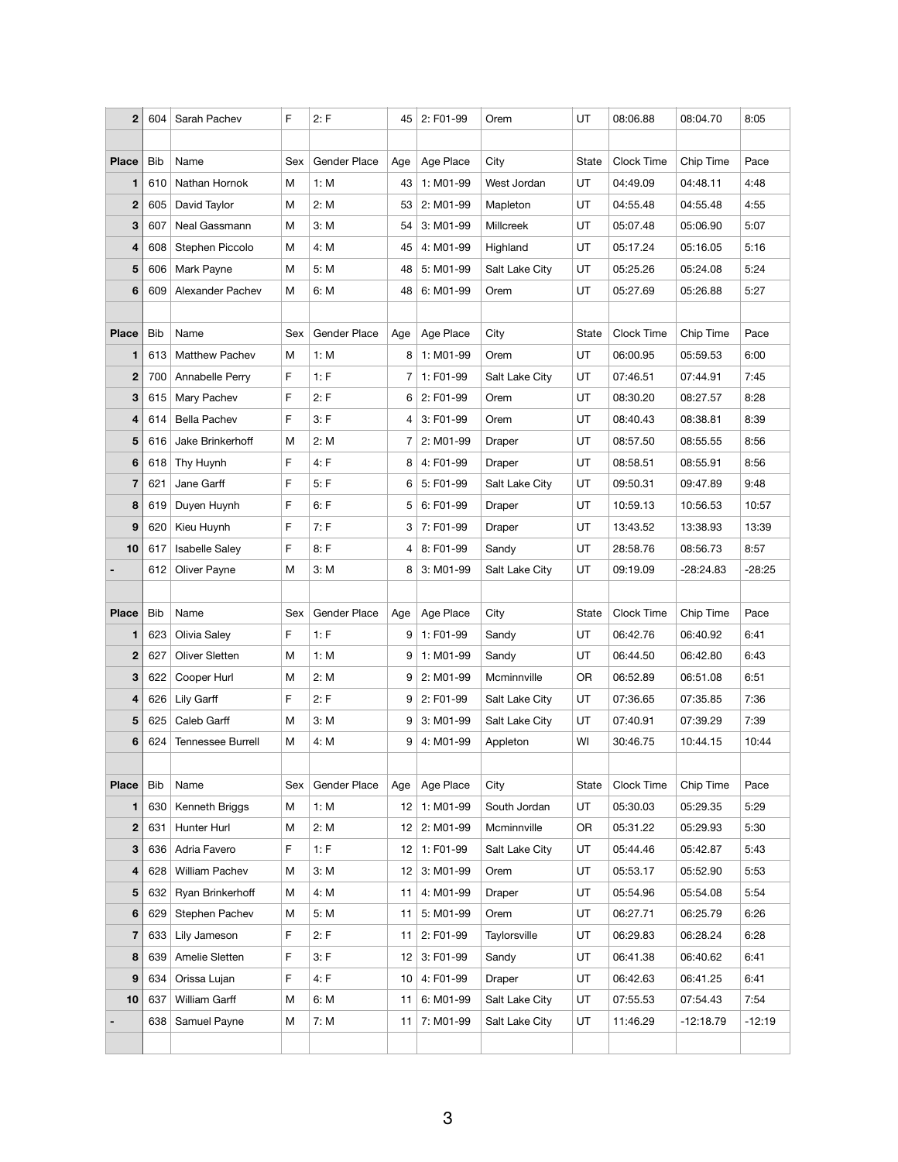| $\mathbf{2}$            | 604        | Sarah Pachev             | F.  | 2: F                | 45              | 2: F01-99 | Orem           | UT        | 08:06.88   | 08:04.70    | 8:05     |
|-------------------------|------------|--------------------------|-----|---------------------|-----------------|-----------|----------------|-----------|------------|-------------|----------|
|                         |            |                          |     |                     |                 |           |                |           |            |             |          |
| <b>Place</b>            | <b>Bib</b> | Name                     | Sex | Gender Place        | Age             | Age Place | City           | State     | Clock Time | Chip Time   | Pace     |
| 1                       | 610        | Nathan Hornok            | M   | 1: M                | 43              | 1: M01-99 | West Jordan    | UT        | 04:49.09   | 04:48.11    | 4:48     |
| $\mathbf{2}$            | 605        | David Taylor             | M   | 2: M                | 53              | 2: M01-99 | Mapleton       | UT        | 04:55.48   | 04:55.48    | 4:55     |
| $\mathbf{3}$            | 607        | Neal Gassmann            | M   | 3: M                | 54              | 3: M01-99 | Millcreek      | UT        | 05:07.48   | 05:06.90    | 5:07     |
| $\overline{\mathbf{4}}$ | 608        | Stephen Piccolo          | M   | 4: M                | 45              | 4: M01-99 | Highland       | UT        | 05:17.24   | 05:16.05    | 5:16     |
| 5                       | 606        | Mark Payne               | M   | 5: M                | 48              | 5: M01-99 | Salt Lake City | UT        | 05:25.26   | 05:24.08    | 5:24     |
| $6\phantom{1}6$         | 609        | Alexander Pachev         | M   | 6: M                | 48              | 6: M01-99 | Orem           | UT        | 05:27.69   | 05:26.88    | 5:27     |
|                         |            |                          |     |                     |                 |           |                |           |            |             |          |
| <b>Place</b>            | <b>Bib</b> | Name                     | Sex | Gender Place        | Age             | Age Place | City           | State     | Clock Time | Chip Time   | Pace     |
| 1                       | 613        | <b>Matthew Pachev</b>    | M   | 1: M                | 8               | 1: M01-99 | Orem           | UT        | 06:00.95   | 05:59.53    | 6:00     |
| $\boldsymbol{2}$        | 700        | Annabelle Perry          | F.  | 1: F                | $\overline{7}$  | 1: F01-99 | Salt Lake City | UT        | 07:46.51   | 07:44.91    | 7:45     |
| $\mathbf{3}$            | 615        | Mary Pachev              | F   | 2: F                | 6               | 2: F01-99 | Orem           | UT        | 08:30.20   | 08:27.57    | 8:28     |
| $\overline{\mathbf{4}}$ | 614        | <b>Bella Pachev</b>      | F   | 3: F                | 4               | 3: F01-99 | Orem           | UT        | 08:40.43   | 08:38.81    | 8:39     |
| 5                       | 616        | Jake Brinkerhoff         | M   | 2: M                | 7               | 2: M01-99 | Draper         | UT        | 08:57.50   | 08:55.55    | 8:56     |
| $6\phantom{1}$          | 618        | Thy Huynh                | F.  | 4: F                | 8               | 4: F01-99 | Draper         | UT        | 08:58.51   | 08:55.91    | 8:56     |
| $\overline{7}$          | 621        | Jane Garff               | F   | 5: F                | 6               | 5: F01-99 | Salt Lake City | UT        | 09:50.31   | 09:47.89    | 9:48     |
| 8                       | 619        | Duyen Huynh              | F   | 6: F                | 5               | 6: F01-99 | Draper         | UT        | 10:59.13   | 10:56.53    | 10:57    |
| 9                       | 620        | Kieu Huynh               | F.  | 7: F                | 3               | 7: F01-99 | Draper         | UT        | 13:43.52   | 13:38.93    | 13:39    |
| 10                      | 617        | <b>Isabelle Saley</b>    | F   | 8: F                | 4               | 8: F01-99 | Sandy          | UT        | 28:58.76   | 08:56.73    | 8:57     |
|                         | 612        | Oliver Payne             | M   | 3: M                | 8               | 3: M01-99 | Salt Lake City | UT        | 09:19.09   | $-28:24.83$ | $-28:25$ |
|                         |            |                          |     |                     |                 |           |                |           |            |             |          |
| <b>Place</b>            | <b>Bib</b> | Name                     | Sex | <b>Gender Place</b> | Age             | Age Place | City           | State     | Clock Time | Chip Time   | Pace     |
| 1                       | 623        | Olivia Saley             | F.  | 1: F                | 9               | 1: F01-99 | Sandy          | UT        | 06:42.76   | 06:40.92    | 6:41     |
| $\mathbf{2}$            | 627        | <b>Oliver Sletten</b>    | М   | 1: M                | 9               | 1: M01-99 | Sandy          | UT        | 06:44.50   | 06:42.80    | 6:43     |
| 3                       | 622        | Cooper Hurl              | M   | 2: M                | 9               | 2: M01-99 | Mcminnville    | <b>OR</b> | 06:52.89   | 06:51.08    | 6:51     |
| $\overline{\mathbf{4}}$ | 626        | Lily Garff               | F.  | 2: F                | 9               | 2: F01-99 | Salt Lake City | <b>UT</b> | 07:36.65   | 07:35.85    | 7:36     |
| $5\phantom{1}$          | 625        | Caleb Garff              | M   | 3: M                | 9               | 3: M01-99 | Salt Lake City | UT        | 07:40.91   | 07:39.29    | 7:39     |
| $6\phantom{1}$          | 624        | <b>Tennessee Burrell</b> | M   | 4: M                | 9               | 4: M01-99 | Appleton       | WI        | 30:46.75   | 10:44.15    | 10:44    |
|                         |            |                          |     |                     |                 |           |                |           |            |             |          |
| <b>Place</b>            | <b>Bib</b> | Name                     | Sex | Gender Place        | Age             | Age Place | City           | State     | Clock Time | Chip Time   | Pace     |
| 1                       | 630        | Kenneth Briggs           | M   | 1: M                | 12              | 1: M01-99 | South Jordan   | UT        | 05:30.03   | 05:29.35    | 5:29     |
| $\mathbf 2$             | 631        | Hunter Hurl              | М   | 2: M                | 12              | 2: M01-99 | Mcminnville    | <b>OR</b> | 05:31.22   | 05:29.93    | 5:30     |
| $\mathbf{3}$            | 636        | Adria Favero             | F   | 1: F                | 12              | 1: F01-99 | Salt Lake City | UT        | 05:44.46   | 05:42.87    | 5:43     |
| $\overline{\mathbf{4}}$ | 628        | <b>William Pachev</b>    | М   | 3: M                | 12 <sup>°</sup> | 3: M01-99 | Orem           | <b>UT</b> | 05:53.17   | 05:52.90    | 5:53     |
| 5                       | 632        | Ryan Brinkerhoff         | M   | 4: M                | 11              | 4: M01-99 | Draper         | UT        | 05:54.96   | 05:54.08    | 5:54     |
| $6\phantom{1}$          | 629        | Stephen Pachev           | М   | 5: M                | 11              | 5: M01-99 | Orem           | <b>UT</b> | 06:27.71   | 06:25.79    | 6:26     |
| $\overline{7}$          | 633        | Lily Jameson             | F.  | 2: F                | 11              | 2: F01-99 | Taylorsville   | UT        | 06:29.83   | 06:28.24    | 6:28     |
| 8                       | 639        | Amelie Sletten           | F.  | 3: F                | 12              | 3: F01-99 | Sandy          | UT        | 06:41.38   | 06:40.62    | 6:41     |
| 9                       | 634        | Orissa Lujan             | F   | 4: F                | 10              | 4: F01-99 | Draper         | <b>UT</b> | 06:42.63   | 06:41.25    | 6:41     |
| 10                      | 637        | William Garff            | М   | 6: M                | 11              | 6: M01-99 | Salt Lake City | UT        | 07:55.53   | 07:54.43    | 7:54     |
|                         | 638        | Samuel Payne             | M   | 7: M                | 11              | 7: M01-99 | Salt Lake City | UT        | 11:46.29   | $-12:18.79$ | $-12:19$ |
|                         |            |                          |     |                     |                 |           |                |           |            |             |          |